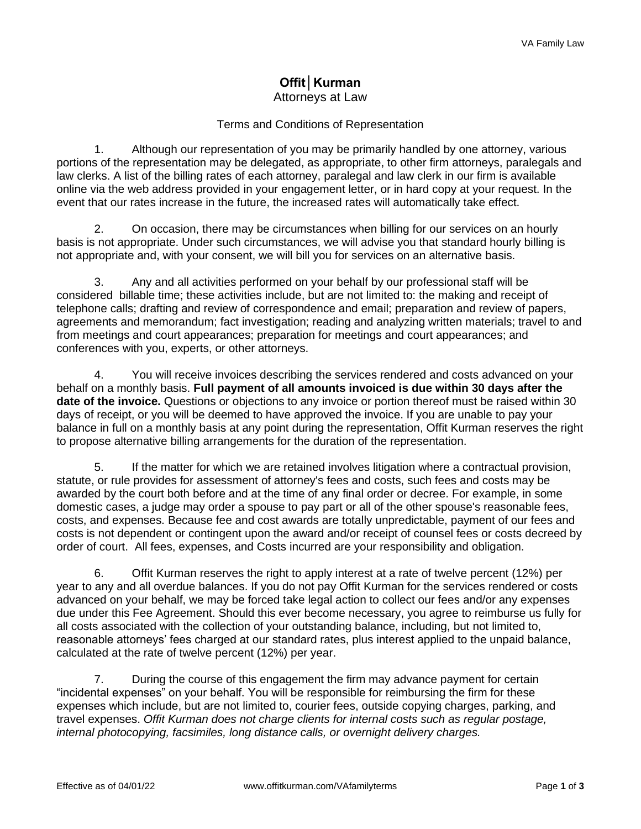## **Offit│Kurman** Attorneys at Law

## Terms and Conditions of Representation

1. Although our representation of you may be primarily handled by one attorney, various portions of the representation may be delegated, as appropriate, to other firm attorneys, paralegals and law clerks. A list of the billing rates of each attorney, paralegal and law clerk in our firm is available online via the web address provided in your engagement letter, or in hard copy at your request. In the event that our rates increase in the future, the increased rates will automatically take effect.

2. On occasion, there may be circumstances when billing for our services on an hourly basis is not appropriate. Under such circumstances, we will advise you that standard hourly billing is not appropriate and, with your consent, we will bill you for services on an alternative basis.

3. Any and all activities performed on your behalf by our professional staff will be considered billable time; these activities include, but are not limited to: the making and receipt of telephone calls; drafting and review of correspondence and email; preparation and review of papers, agreements and memorandum; fact investigation; reading and analyzing written materials; travel to and from meetings and court appearances; preparation for meetings and court appearances; and conferences with you, experts, or other attorneys.

4. You will receive invoices describing the services rendered and costs advanced on your behalf on a monthly basis. **Full payment of all amounts invoiced is due within 30 days after the date of the invoice.** Questions or objections to any invoice or portion thereof must be raised within 30 days of receipt, or you will be deemed to have approved the invoice. If you are unable to pay your balance in full on a monthly basis at any point during the representation, Offit Kurman reserves the right to propose alternative billing arrangements for the duration of the representation.

5. If the matter for which we are retained involves litigation where a contractual provision, statute, or rule provides for assessment of attorney's fees and costs, such fees and costs may be awarded by the court both before and at the time of any final order or decree. For example, in some domestic cases, a judge may order a spouse to pay part or all of the other spouse's reasonable fees, costs, and expenses. Because fee and cost awards are totally unpredictable, payment of our fees and costs is not dependent or contingent upon the award and/or receipt of counsel fees or costs decreed by order of court. All fees, expenses, and Costs incurred are your responsibility and obligation.

6. Offit Kurman reserves the right to apply interest at a rate of twelve percent (12%) per year to any and all overdue balances. If you do not pay Offit Kurman for the services rendered or costs advanced on your behalf, we may be forced take legal action to collect our fees and/or any expenses due under this Fee Agreement. Should this ever become necessary, you agree to reimburse us fully for all costs associated with the collection of your outstanding balance, including, but not limited to, reasonable attorneys' fees charged at our standard rates, plus interest applied to the unpaid balance, calculated at the rate of twelve percent (12%) per year.

7. During the course of this engagement the firm may advance payment for certain "incidental expenses" on your behalf. You will be responsible for reimbursing the firm for these expenses which include, but are not limited to, courier fees, outside copying charges, parking, and travel expenses. *Offit Kurman does not charge clients for internal costs such as regular postage, internal photocopying, facsimiles, long distance calls, or overnight delivery charges.*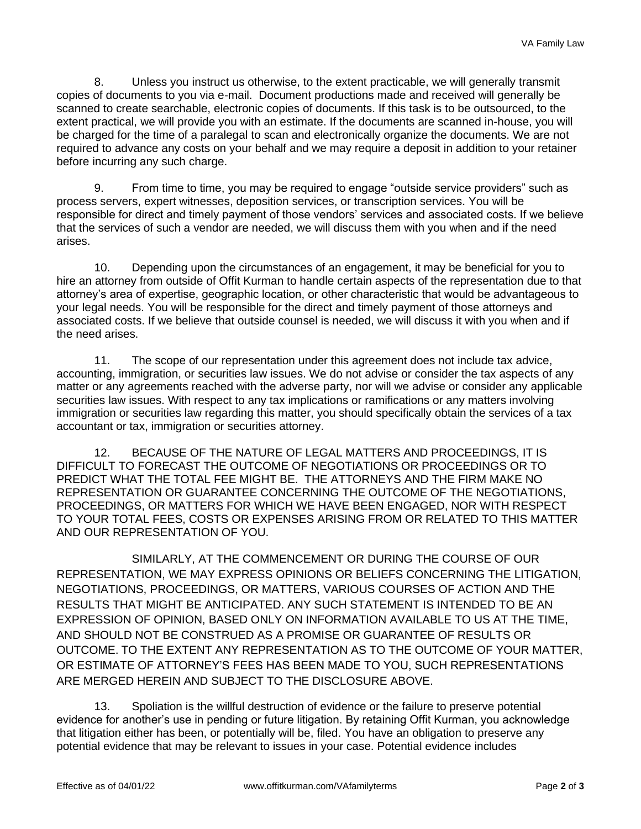8. Unless you instruct us otherwise, to the extent practicable, we will generally transmit copies of documents to you via e-mail. Document productions made and received will generally be scanned to create searchable, electronic copies of documents. If this task is to be outsourced, to the extent practical, we will provide you with an estimate. If the documents are scanned in-house, you will be charged for the time of a paralegal to scan and electronically organize the documents. We are not required to advance any costs on your behalf and we may require a deposit in addition to your retainer before incurring any such charge.

9. From time to time, you may be required to engage "outside service providers" such as process servers, expert witnesses, deposition services, or transcription services. You will be responsible for direct and timely payment of those vendors' services and associated costs. If we believe that the services of such a vendor are needed, we will discuss them with you when and if the need arises.

10. Depending upon the circumstances of an engagement, it may be beneficial for you to hire an attorney from outside of Offit Kurman to handle certain aspects of the representation due to that attorney's area of expertise, geographic location, or other characteristic that would be advantageous to your legal needs. You will be responsible for the direct and timely payment of those attorneys and associated costs. If we believe that outside counsel is needed, we will discuss it with you when and if the need arises.

11. The scope of our representation under this agreement does not include tax advice, accounting, immigration, or securities law issues. We do not advise or consider the tax aspects of any matter or any agreements reached with the adverse party, nor will we advise or consider any applicable securities law issues. With respect to any tax implications or ramifications or any matters involving immigration or securities law regarding this matter, you should specifically obtain the services of a tax accountant or tax, immigration or securities attorney.

12. BECAUSE OF THE NATURE OF LEGAL MATTERS AND PROCEEDINGS, IT IS DIFFICULT TO FORECAST THE OUTCOME OF NEGOTIATIONS OR PROCEEDINGS OR TO PREDICT WHAT THE TOTAL FEE MIGHT BE. THE ATTORNEYS AND THE FIRM MAKE NO REPRESENTATION OR GUARANTEE CONCERNING THE OUTCOME OF THE NEGOTIATIONS, PROCEEDINGS, OR MATTERS FOR WHICH WE HAVE BEEN ENGAGED, NOR WITH RESPECT TO YOUR TOTAL FEES, COSTS OR EXPENSES ARISING FROM OR RELATED TO THIS MATTER AND OUR REPRESENTATION OF YOU.

SIMILARLY, AT THE COMMENCEMENT OR DURING THE COURSE OF OUR REPRESENTATION, WE MAY EXPRESS OPINIONS OR BELIEFS CONCERNING THE LITIGATION, NEGOTIATIONS, PROCEEDINGS, OR MATTERS, VARIOUS COURSES OF ACTION AND THE RESULTS THAT MIGHT BE ANTICIPATED. ANY SUCH STATEMENT IS INTENDED TO BE AN EXPRESSION OF OPINION, BASED ONLY ON INFORMATION AVAILABLE TO US AT THE TIME, AND SHOULD NOT BE CONSTRUED AS A PROMISE OR GUARANTEE OF RESULTS OR OUTCOME. TO THE EXTENT ANY REPRESENTATION AS TO THE OUTCOME OF YOUR MATTER, OR ESTIMATE OF ATTORNEY'S FEES HAS BEEN MADE TO YOU, SUCH REPRESENTATIONS ARE MERGED HEREIN AND SUBJECT TO THE DISCLOSURE ABOVE.

13. Spoliation is the willful destruction of evidence or the failure to preserve potential evidence for another's use in pending or future litigation. By retaining Offit Kurman, you acknowledge that litigation either has been, or potentially will be, filed. You have an obligation to preserve any potential evidence that may be relevant to issues in your case. Potential evidence includes